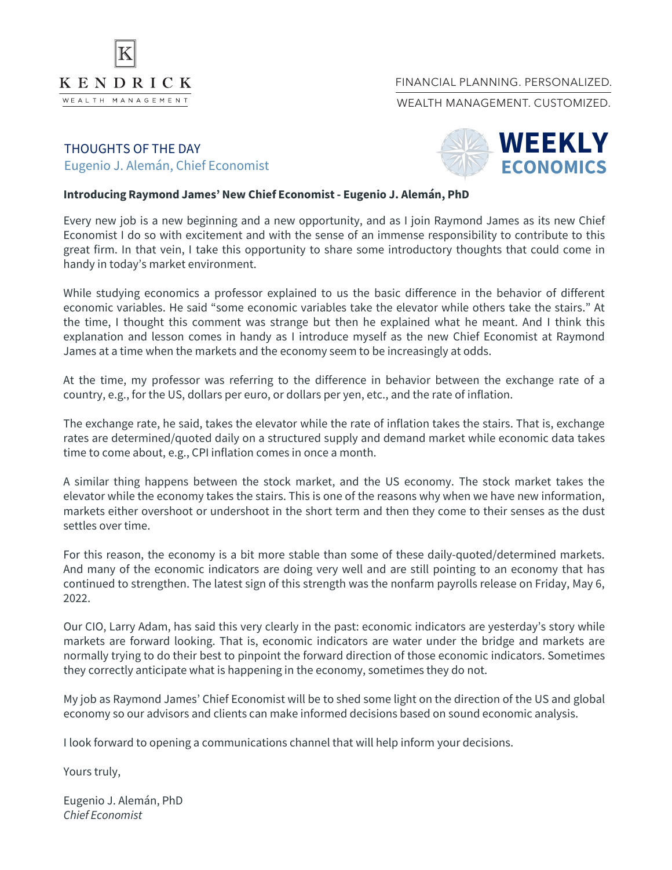

## FINANCIAL PLANNING. PERSONALIZED.

WEALTH MANAGEMENT CUSTOMIZED.

## THOUGHTS OF THE DAY Eugenio J. Alemán, Chief Economist



## **Introducing Raymond James' New Chief Economist- Eugenio J. Alemán, PhD**

Every new job is a new beginning and a new opportunity, and as I join Raymond James as its new Chief Economist I do so with excitement and with the sense of an immense responsibility to contribute to this great firm. In that vein, I take this opportunity to share some introductory thoughts that could come in handy in today's market environment.

While studying economics a professor explained to us the basic difference in the behavior of different economic variables. He said "some economic variables take the elevator while others take the stairs." At the time, I thought this comment was strange but then he explained what he meant. And I think this explanation and lesson comes in handy as I introduce myself as the new Chief Economist at Raymond James at a time when the markets and the economy seem to be increasingly at odds.

At the time, my professor was referring to the difference in behavior between the exchange rate of a country, e.g., for the US, dollars per euro, or dollars per yen, etc., and the rate of inflation.

The exchange rate, he said, takes the elevator while the rate of inflation takes the stairs. That is, exchange rates are determined/quoted daily on a structured supply and demand market while economic data takes time to come about, e.g., CPI inflation comes in once a month.

A similar thing happens between the stock market, and the US economy. The stock market takes the elevator while the economy takes the stairs. This is one of the reasons why when we have new information, markets either overshoot or undershoot in the short term and then they come to their senses as the dust settles over time.

For this reason, the economy is a bit more stable than some of these daily-quoted/determined markets. And many of the economic indicators are doing very well and are still pointing to an economy that has continued to strengthen. The latest sign of this strength was the nonfarm payrolls release on Friday, May 6, 2022.

Our CIO, Larry Adam, has said this very clearly in the past: economic indicators are yesterday's story while markets are forward looking. That is, economic indicators are water under the bridge and markets are normally trying to do their best to pinpoint the forward direction of those economic indicators. Sometimes they correctly anticipate what is happening in the economy, sometimes they do not.

My job as Raymond James' Chief Economist will be to shed some light on the direction of the US and global economy so our advisors and clients can make informed decisions based on sound economic analysis.

I look forward to opening a communications channel that will help inform your decisions.

Yours truly,

Eugenio J. Alemán, PhD *Chief Economist*